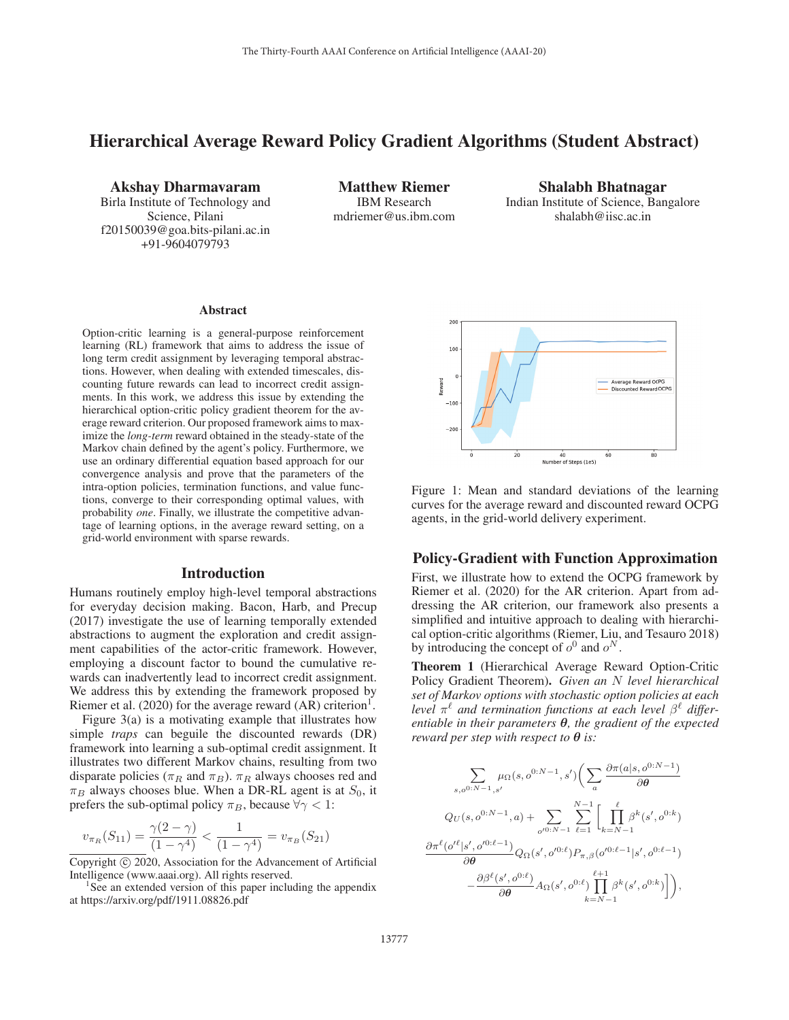# Hierarchical Average Reward Policy Gradient Algorithms (Student Abstract)

Akshay Dharmavaram Birla Institute of Technology and

Science, Pilani f20150039@goa.bits-pilani.ac.in +91-9604079793

Matthew Riemer IBM Research mdriemer@us.ibm.com

Shalabh Bhatnagar Indian Institute of Science, Bangalore shalabh@iisc.ac.in

#### Abstract

Option-critic learning is a general-purpose reinforcement learning (RL) framework that aims to address the issue of long term credit assignment by leveraging temporal abstractions. However, when dealing with extended timescales, discounting future rewards can lead to incorrect credit assignments. In this work, we address this issue by extending the hierarchical option-critic policy gradient theorem for the average reward criterion. Our proposed framework aims to maximize the *long-term* reward obtained in the steady-state of the Markov chain defined by the agent's policy. Furthermore, we use an ordinary differential equation based approach for our convergence analysis and prove that the parameters of the intra-option policies, termination functions, and value functions, converge to their corresponding optimal values, with probability *one*. Finally, we illustrate the competitive advantage of learning options, in the average reward setting, on a grid-world environment with sparse rewards.

### Introduction

Humans routinely employ high-level temporal abstractions for everyday decision making. Bacon, Harb, and Precup (2017) investigate the use of learning temporally extended abstractions to augment the exploration and credit assignment capabilities of the actor-critic framework. However, employing a discount factor to bound the cumulative rewards can inadvertently lead to incorrect credit assignment. We address this by extending the framework proposed by Riemer et al.  $(2020)$  for the average reward  $(AR)$  criterion<sup>1</sup>.

Figure 3(a) is a motivating example that illustrates how simple *traps* can beguile the discounted rewards (DR) framework into learning a sub-optimal credit assignment. It illustrates two different Markov chains, resulting from two disparate policies ( $\pi_R$  and  $\pi_B$ ).  $\pi_R$  always chooses red and  $\pi_B$  always chooses blue. When a DR-RL agent is at  $S_0$ , it prefers the sub-optimal policy  $\pi_B$ , because  $\forall \gamma < 1$ :

$$
v_{\pi_R}(S_{11}) = \frac{\gamma(2-\gamma)}{(1-\gamma^4)} < \frac{1}{(1-\gamma^4)} = v_{\pi_B}(S_{21})
$$

Copyright  $\odot$  2020, Association for the Advancement of Artificial Intelligence (www.aaai.org). All rights reserved. <sup>1</sup>

<sup>1</sup>See an extended version of this paper including the appendix at https://arxiv.org/pdf/1911.08826.pdf



Figure 1: Mean and standard deviations of the learning curves for the average reward and discounted reward OCPG agents, in the grid-world delivery experiment.

## Policy-Gradient with Function Approximation

First, we illustrate how to extend the OCPG framework by Riemer et al. (2020) for the AR criterion. Apart from addressing the AR criterion, our framework also presents a simplified and intuitive approach to dealing with hierarchical option-critic algorithms (Riemer, Liu, and Tesauro 2018) by introducing the concept of  $o^0$  and  $o^N$ .

Theorem 1 (Hierarchical Average Reward Option-Critic Policy Gradient Theorem). *Given an* N *level hierarchical set of Markov options with stochastic option policies at each level*  $\pi^{\ell}$  and termination functions at each level  $\beta^{\ell}$  differ*entiable in their parameters θ, the gradient of the expected reward per step with respect to*  $\theta$  *is:* 

$$
\sum_{s, o^{0:N-1}, s'} \mu_{\Omega}(s, o^{0:N-1}, s') \Big( \sum_{a} \frac{\partial \pi(a|s, o^{0:N-1})}{\partial \theta} \\ Q_U(s, o^{0:N-1}, a) + \sum_{o'^{0:N-1}} \sum_{\ell=1}^{N-1} \Big[ \prod_{k=N-1}^{\ell} \beta^k(s', o^{0:k}) \\ \frac{\partial \pi^{\ell}(o'^{\ell}|s', o'^{0:\ell-1})}{\partial \theta} Q_{\Omega}(s', o'^{0:\ell}) P_{\pi, \beta}(o'^{0:\ell-1}|s', o^{0:\ell-1}) \\ - \frac{\partial \beta^{\ell}(s', o^{0:\ell})}{\partial \theta} A_{\Omega}(s', o^{0:\ell}) \prod_{k=N-1}^{\ell+1} \beta^k(s', o^{0:k}) \Big] \Big),
$$